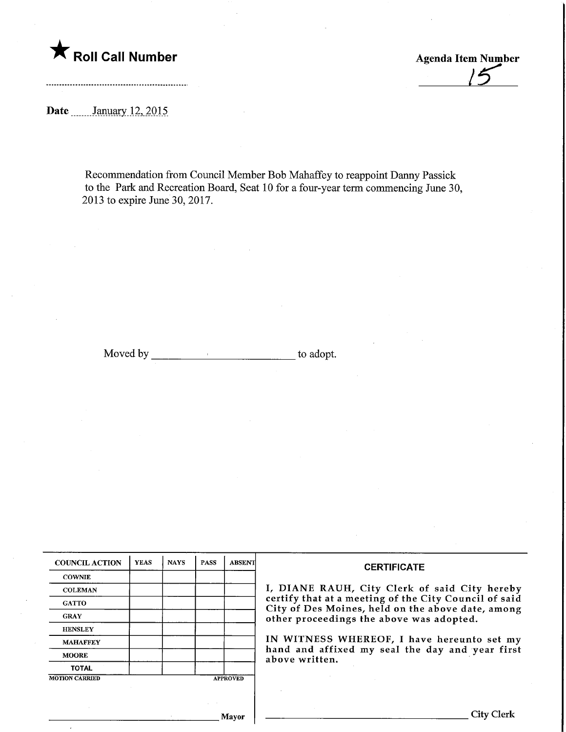

 $15$ 

Date \_\_\_\_\_\_ January 12, 2015

Recommendation from Council Member Bob Mahaffey to reappoint Danny Passick to the Park and Recreation Board, Seat 10 for a four-year term commencing June 30, 2013 to expire June 30, 2017.

Moved by to adopt.

| <b>COUNCIL ACTION</b> | <b>YEAS</b> | <b>NAYS</b> | <b>PASS</b> | <b>ABSENT</b>   | <b>CERTIFICATE</b>                                                                            |
|-----------------------|-------------|-------------|-------------|-----------------|-----------------------------------------------------------------------------------------------|
| <b>COWNIE</b>         |             |             |             |                 |                                                                                               |
| <b>COLEMAN</b>        |             |             |             |                 | I, DIANE RAUH, City Clerk of said City hereby                                                 |
| <b>GATTO</b>          |             |             |             |                 | certify that at a meeting of the City Council of said                                         |
| <b>GRAY</b>           |             |             |             |                 | City of Des Moines, held on the above date, among<br>other proceedings the above was adopted. |
| <b>HENSLEY</b>        |             |             |             |                 |                                                                                               |
| <b>MAHAFFEY</b>       |             |             |             |                 | IN WITNESS WHEREOF, I have hereunto set my                                                    |
| <b>MOORE</b>          |             |             |             |                 | hand and affixed my seal the day and year first<br>above written.                             |
| <b>TOTAL</b>          |             |             |             |                 |                                                                                               |
| <b>MOTION CARRIED</b> |             |             |             | <b>APPROVED</b> |                                                                                               |
|                       |             |             |             |                 |                                                                                               |
|                       |             |             |             |                 |                                                                                               |
|                       |             |             |             | Mayor           | City CJ                                                                                       |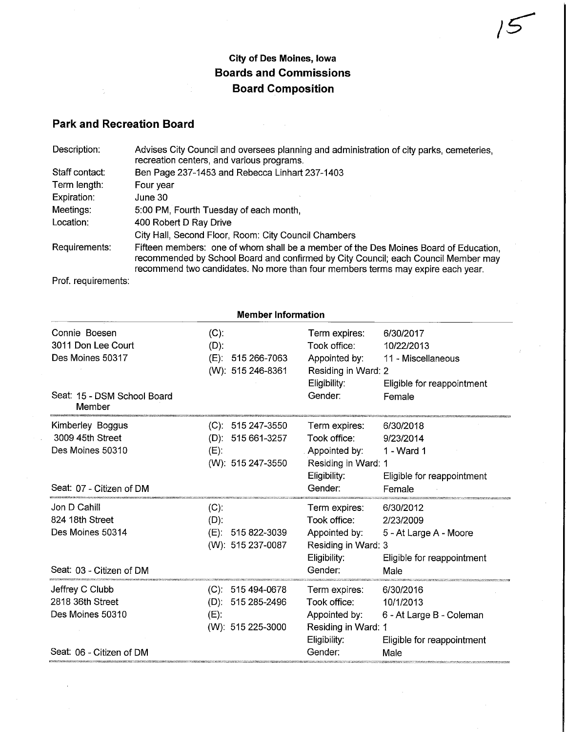## City of Des Moines, Iowa Boards and Commissions Board Composition

 $15$ 

## Park and Recreation Board

÷,

| Description:   | Advises City Council and oversees planning and administration of city parks, cemeteries,<br>recreation centers, and various programs.                                                                                                                         |
|----------------|---------------------------------------------------------------------------------------------------------------------------------------------------------------------------------------------------------------------------------------------------------------|
| Staff contact: | Ben Page 237-1453 and Rebecca Linhart 237-1403                                                                                                                                                                                                                |
| Term length:   | Four year                                                                                                                                                                                                                                                     |
| Expiration:    | June 30                                                                                                                                                                                                                                                       |
| Meetings:      | 5:00 PM, Fourth Tuesday of each month,                                                                                                                                                                                                                        |
| Location:      | 400 Robert D Ray Drive                                                                                                                                                                                                                                        |
|                | City Hall, Second Floor, Room: City Council Chambers                                                                                                                                                                                                          |
| Requirements:  | Fifteen members: one of whom shall be a member of the Des Moines Board of Education.<br>recommended by School Board and confirmed by City Council; each Council Member may<br>recommend two candidates. No more than four members terms may expire each year. |

 $\mathcal{A}$ 

Prof. requirements:

| <b>Member Information</b>                                                           |                                                                                 |                                                                                                  |                                                                                          |  |
|-------------------------------------------------------------------------------------|---------------------------------------------------------------------------------|--------------------------------------------------------------------------------------------------|------------------------------------------------------------------------------------------|--|
| Connie Boesen<br>3011 Don Lee Court<br>Des Moines 50317                             | $(C)$ :<br>$(D)$ :<br>(E):<br>515 266-7063<br>(W): 515 246-8361                 | Term expires:<br>Took office:<br>Appointed by:<br>Residing in Ward: 2<br>Eligibility:            | 6/30/2017<br>10/22/2013<br>11 - Miscellaneous<br>Eligible for reappointment              |  |
| Seat: 15 - DSM School Board<br>Member                                               |                                                                                 | Gender:                                                                                          | Female                                                                                   |  |
| Kimberley Boggus<br>3009 45th Street<br>Des Moines 50310                            | $(C): 515247-3550$<br>$(D)$ : 515 661-3257<br>$(E)$ :<br>(W): 515 247-3550      | Term expires:<br>Took office:<br>Appointed by:<br>Residing in Ward: 1<br>Eligibility:            | 6/30/2018<br>9/23/2014<br>1 - Ward 1<br>Eligible for reappointment                       |  |
| Seat: 07 - Citizen of DM                                                            |                                                                                 | Gender:                                                                                          | Female                                                                                   |  |
| Jon D Cahill<br>824 18th Street<br>Des Moines 50314<br>Seat: 03 - Citizen of DM     | (C)<br>$(D)$ :<br>(E): 515 822-3039<br>(W): 515 237-0087                        | Term expires:<br>Took office:<br>Appointed by:<br>Residing in Ward: 3<br>Eligibility:<br>Gender: | 6/30/2012<br>2/23/2009<br>5 - At Large A - Moore<br>Eligible for reappointment<br>Male   |  |
| Jeffrey C Clubb<br>2818 36th Street<br>Des Moines 50310<br>Seat: 06 - Citizen of DM | $(C)$ : 515 494-0678<br>515 285-2496<br>$(D)$ :<br>$(E)$ :<br>(W): 515 225-3000 | Term expires:<br>Took office:<br>Appointed by:<br>Residing in Ward: 1<br>Eligibility:<br>Gender: | 6/30/2016<br>10/1/2013<br>6 - At Large B - Coleman<br>Eligible for reappointment<br>Male |  |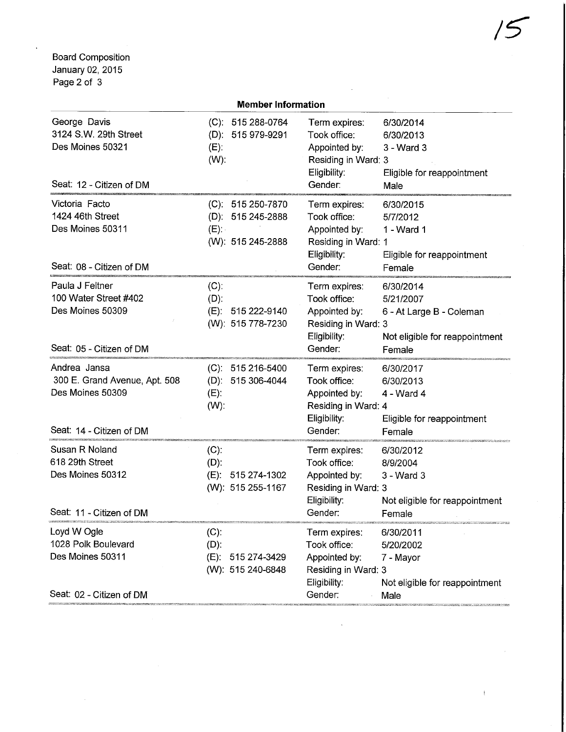Board Composition January 02, 2015 Page 2 of 3

| Page 2 of 3                                                                                   |                                                                          |                                                                                                  |                                                                                                |  |  |
|-----------------------------------------------------------------------------------------------|--------------------------------------------------------------------------|--------------------------------------------------------------------------------------------------|------------------------------------------------------------------------------------------------|--|--|
| <b>Member Information</b>                                                                     |                                                                          |                                                                                                  |                                                                                                |  |  |
| George Davis<br>3124 S.W. 29th Street<br>Des Moines 50321<br>Seat: 12 - Citizen of DM         | $(C): 515288-0764$<br>(D): 515 979-9291<br>$(E)$ :<br>$(W)$ :            | Term expires:<br>Took office:<br>Appointed by:<br>Residing in Ward: 3<br>Eligibility:<br>Gender: | 6/30/2014<br>6/30/2013<br>3 - Ward 3<br>Eligible for reappointment<br>Male                     |  |  |
| Victoria Facto<br>1424 46th Street<br>Des Moines 50311<br>Seat: 08 - Citizen of DM            | $(C): 515250-7870$<br>$(D): 515245-2888$<br>$(E)$ :<br>(W): 515 245-2888 | Term expires:<br>Took office:<br>Appointed by:<br>Residing in Ward: 1<br>Eligibility:<br>Gender: | 6/30/2015<br>5/7/2012<br>1 - Ward 1<br>Eligible for reappointment<br>Female                    |  |  |
| Paula J Feltner<br>100 Water Street #402<br>Des Moines 50309<br>Seat: 05 - Citizen of DM      | $(C)$ :<br>$(D)$ :<br>(E): 515 222-9140<br>(W): 515 778-7230             | Term expires:<br>Took office:<br>Appointed by:<br>Residing in Ward: 3<br>Eligibility:<br>Gender: | 6/30/2014<br>5/21/2007<br>6 - At Large B - Coleman<br>Not eligible for reappointment<br>Female |  |  |
| Andrea Jansa<br>300 E. Grand Avenue, Apt. 508<br>Des Moines 50309<br>Seat: 14 - Citizen of DM | $(C): 515216-5400$<br>$(D)$ : 515 306-4044<br>$(E)$ :<br>$(W)$ :         | Term expires:<br>Took office:<br>Appointed by:<br>Residing in Ward: 4<br>Eligibility:<br>Gender: | 6/30/2017<br>6/30/2013<br>$4 - Ward 4$<br>Eligible for reappointment<br>Female                 |  |  |
| Susan R Noland<br>618 29th Street<br>Des Moines 50312<br>Seat: 11 - Citizen of DM             | $(C)$ :<br>$(D)$ :<br>$(E)$ :<br>515 274-1302<br>(W): 515 255-1167       | Term expires:<br>Took office:<br>Appointed by:<br>Residing in Ward: 3<br>Eligibility:<br>Gender: | 6/30/2012<br>8/9/2004<br>3 - Ward 3<br>Not eligible for reappointment<br>Female                |  |  |
| Loyd W Ogle<br>1028 Polk Boulevard<br>Des Moines 50311<br>Seat: 02 - Citizen of DM            | $(C)$ :<br>$(D)$ :<br>$(E)$ :<br>515 274-3429<br>(W): 515 240-6848       | Term expires:<br>Took office:<br>Appointed by:<br>Residing in Ward: 3<br>Eligibility:<br>Gender: | 6/30/2011<br>5/20/2002<br>7 - Mayor<br>Not eligible for reappointment<br>Male                  |  |  |

 $\sim$   $^{-1}$ 

 $\mathfrak{t}$